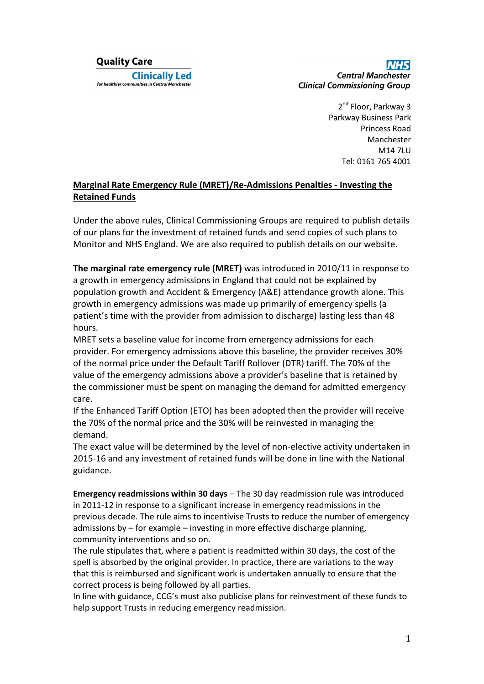## **Quality Care Clinically Led** for healthier communities in Central Manchester

**Central Manchester Clinical Commissioning Group** 

> 2<sup>nd</sup> Floor, Parkway 3 Parkway Business Park Princess Road Manchester M14 7LU Tel: 0161 765 4001

## **Marginal Rate Emergency Rule (MRET)/Re-Admissions Penalties - Investing the Retained Funds**

Under the above rules, Clinical Commissioning Groups are required to publish details of our plans for the investment of retained funds and send copies of such plans to Monitor and NHS England. We are also required to publish details on our website.

**The marginal rate emergency rule (MRET)** was introduced in 2010/11 in response to a growth in emergency admissions in England that could not be explained by population growth and Accident & Emergency (A&E) attendance growth alone. This growth in emergency admissions was made up primarily of emergency spells (a patient's time with the provider from admission to discharge) lasting less than 48 hours.

MRET sets a baseline value for income from emergency admissions for each provider. For emergency admissions above this baseline, the provider receives 30% of the normal price under the Default Tariff Rollover (DTR) tariff. The 70% of the value of the emergency admissions above a provider's baseline that is retained by the commissioner must be spent on managing the demand for admitted emergency care.

If the Enhanced Tariff Option (ETO) has been adopted then the provider will receive the 70% of the normal price and the 30% will be reinvested in managing the demand.

The exact value will be determined by the level of non-elective activity undertaken in 2015-16 and any investment of retained funds will be done in line with the National guidance.

**Emergency readmissions within 30 days** – The 30 day readmission rule was introduced in 2011-12 in response to a significant increase in emergency readmissions in the previous decade. The rule aims to incentivise Trusts to reduce the number of emergency admissions by – for example – investing in more effective discharge planning, community interventions and so on.

The rule stipulates that, where a patient is readmitted within 30 days, the cost of the spell is absorbed by the original provider. In practice, there are variations to the way that this is reimbursed and significant work is undertaken annually to ensure that the correct process is being followed by all parties.

In line with guidance, CCG's must also publicise plans for reinvestment of these funds to help support Trusts in reducing emergency readmission.